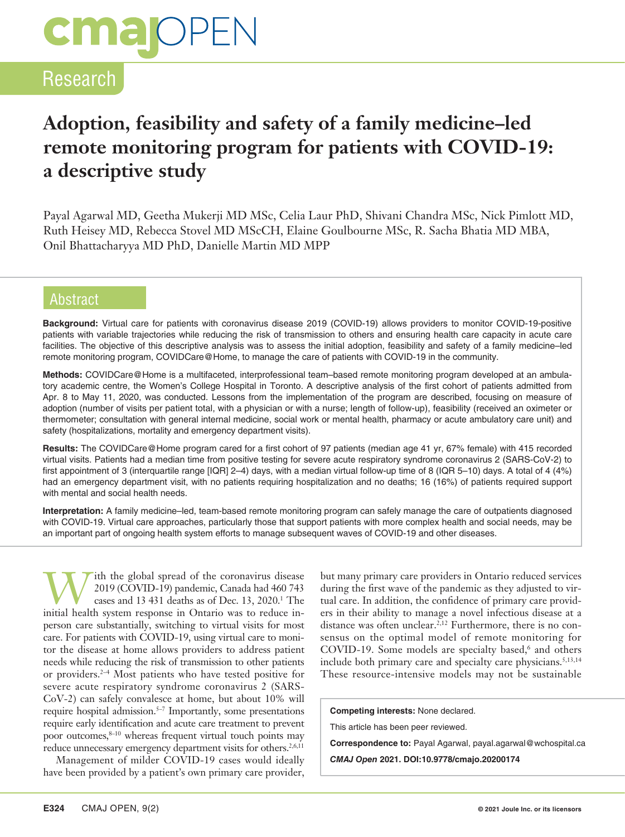# **cmalOPEN**

## Research

# **Adoption, feasibility and safety of a family medicine–led remote monitoring program for patients with COVID-19: a descriptive study**

Payal Agarwal MD, Geetha Mukerji MD MSc, Celia Laur PhD, Shivani Chandra MSc, Nick Pimlott MD, Ruth Heisey MD, Rebecca Stovel MD MScCH, Elaine Goulbourne MSc, R. Sacha Bhatia MD MBA, Onil Bhattacharyya MD PhD, Danielle Martin MD MPP

## **Abstract**

**Background:** Virtual care for patients with coronavirus disease 2019 (COVID-19) allows providers to monitor COVID-19-positive patients with variable trajectories while reducing the risk of transmission to others and ensuring health care capacity in acute care facilities. The objective of this descriptive analysis was to assess the initial adoption, feasibility and safety of a family medicine–led remote monitoring program, COVIDCare@Home, to manage the care of patients with COVID-19 in the community.

**Methods:** COVIDCare@Home is a multifaceted, interprofessional team–based remote monitoring program developed at an ambulatory academic centre, the Women's College Hospital in Toronto. A descriptive analysis of the first cohort of patients admitted from Apr. 8 to May 11, 2020, was conducted. Lessons from the implementation of the program are described, focusing on measure of adoption (number of visits per patient total, with a physician or with a nurse; length of follow-up), feasibility (received an oximeter or thermometer; consultation with general internal medicine, social work or mental health, pharmacy or acute ambulatory care unit) and safety (hospitalizations, mortality and emergency department visits).

**Results:** The COVIDCare@Home program cared for a first cohort of 97 patients (median age 41 yr, 67% female) with 415 recorded virtual visits. Patients had a median time from positive testing for severe acute respiratory syndrome coronavirus 2 (SARS-CoV-2) to first appointment of 3 (interquartile range [IQR] 2–4) days, with a median virtual follow-up time of 8 (IQR 5–10) days. A total of 4 (4%) had an emergency department visit, with no patients requiring hospitalization and no deaths; 16 (16%) of patients required support with mental and social health needs.

**Interpretation:** A family medicine–led, team-based remote monitoring program can safely manage the care of outpatients diagnosed with COVID-19. Virtual care approaches, particularly those that support patients with more complex health and social needs, may be an important part of ongoing health system efforts to manage subsequent waves of COVID-19 and other diseases.

With the global spread of the coronavirus disease<br>
2019 (COVID-19) pandemic, Canada had 460 743<br>
cases and 13 431 deaths as of Dec. 13, 2020.<sup>1</sup> The 2019 (COVID-19) pandemic, Canada had 460 743 initial health system response in Ontario was to reduce inperson care substantially, switching to virtual visits for most care. For patients with COVID-19, using virtual care to monitor the disease at home allows providers to address patient needs while reducing the risk of transmission to other patients or providers.2–4 Most patients who have tested positive for severe acute respiratory syndrome coronavirus 2 (SARS-CoV-2) can safely convalesce at home, but about 10% will require hospital admission.5–7 Importantly, some presentations require early identification and acute care treatment to prevent poor outcomes, $8-10$  whereas frequent virtual touch points may reduce unnecessary emergency department visits for others.<sup>2,6,11</sup>

Management of milder COVID-19 cases would ideally have been provided by a patient's own primary care provider, but many primary care providers in Ontario reduced services during the first wave of the pandemic as they adjusted to virtual care. In addition, the confidence of primary care providers in their ability to manage a novel infectious disease at a distance was often unclear.<sup>2,12</sup> Furthermore, there is no consensus on the optimal model of remote monitoring for  $\text{COVID-19.}$  Some models are specialty based, $^6$  and others include both primary care and specialty care physicians.<sup>5,13,14</sup> These resource-intensive models may not be sustainable

**Competing interests:** None declared.

This article has been peer reviewed.

**Correspondence to:** Payal Agarwal, payal.agarwal@wchospital.ca

*CMAJ Open* **2021. DOI:10.9778/cmajo.20200174**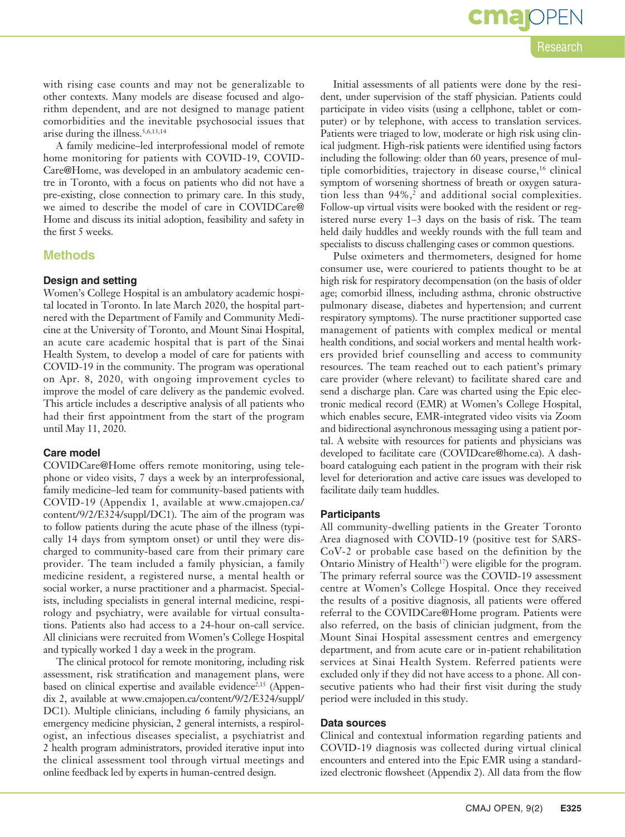with rising case counts and may not be generalizable to other contexts. Many models are disease focused and algorithm dependent, and are not designed to manage patient comorbidities and the inevitable psychosocial issues that arise during the illness.5,6,13,14

A family medicine–led interprofessional model of remote home monitoring for patients with COVID-19, COVID-Care@Home, was developed in an ambulatory academic centre in Toronto, with a focus on patients who did not have a pre-existing, close connection to primary care. In this study, we aimed to describe the model of care in COVIDCare@ Home and discuss its initial adoption, feasibility and safety in the first 5 weeks.

#### **Methods**

#### **Design and setting**

Women's College Hospital is an ambulatory academic hospital located in Toronto. In late March 2020, the hospital partnered with the Department of Family and Community Medicine at the University of Toronto, and Mount Sinai Hospital, an acute care academic hospital that is part of the Sinai Health System, to develop a model of care for patients with COVID-19 in the community. The program was operational on Apr. 8, 2020, with ongoing improvement cycles to improve the model of care delivery as the pandemic evolved. This article includes a descriptive analysis of all patients who had their first appointment from the start of the program until May 11, 2020.

#### **Care model**

COVIDCare@Home offers remote monitoring, using telephone or video visits, 7 days a week by an interprofessional, family medicine–led team for community-based patients with COVID-19 (Appendix 1, available at [www.cmajopen.ca/](http://www.cmajopen.ca/content/x/X/EXX/suppl/DC1) [content/9/2/E324/suppl/DC1](http://www.cmajopen.ca/content/x/X/EXX/suppl/DC1)). The aim of the program was to follow patients during the acute phase of the illness (typically 14 days from symptom onset) or until they were discharged to community-based care from their primary care provider. The team included a family physician, a family medicine resident, a registered nurse, a mental health or social worker, a nurse practitioner and a pharmacist. Specialists, including specialists in general internal medicine, respirology and psychiatry, were available for virtual consultations. Patients also had access to a 24-hour on-call service. All clinicians were recruited from Women's College Hospital and typically worked 1 day a week in the program.

The clinical protocol for remote monitoring, including risk assessment, risk stratification and management plans, were based on clinical expertise and available evidence<sup>2,15</sup> (Appendix 2, available at www.cmajopen.ca/content/9/2/E324/suppl/ DC1). Multiple clinicians, including 6 family physicians, an emergency medicine physician, 2 general internists, a respirologist, an infectious diseases specialist, a psychiatrist and 2 health program administrators, provided iterative input into the clinical assessment tool through virtual meetings and online feedback led by experts in human-centred design.

Initial assessments of all patients were done by the resident, under supervision of the staff physician. Patients could

participate in video visits (using a cellphone, tablet or computer) or by telephone, with access to translation services. Patients were triaged to low, moderate or high risk using clinical judgment. High-risk patients were identified using factors including the following: older than 60 years, presence of multiple comorbidities, trajectory in disease course,<sup>16</sup> clinical symptom of worsening shortness of breath or oxygen saturation less than 94%,<sup>2</sup> and additional social complexities. Follow-up virtual visits were booked with the resident or registered nurse every 1–3 days on the basis of risk. The team held daily huddles and weekly rounds with the full team and specialists to discuss challenging cases or common questions.

Pulse oximeters and thermometers, designed for home consumer use, were couriered to patients thought to be at high risk for respiratory decompensation (on the basis of older age; comorbid illness, including asthma, chronic obstructive pulmonary disease, diabetes and hypertension; and current respiratory symptoms). The nurse practitioner supported case management of patients with complex medical or mental health conditions, and social workers and mental health workers provided brief counselling and access to community resources. The team reached out to each patient's primary care provider (where relevant) to facilitate shared care and send a discharge plan. Care was charted using the Epic electronic medical record (EMR) at Women's College Hospital, which enables secure, EMR-integrated video visits via Zoom and bidirectional asynchronous messaging using a patient portal. A website with resources for patients and physicians was developed to facilitate care (COVIDcare@home.ca). A dashboard cataloguing each patient in the program with their risk level for deterioration and active care issues was developed to facilitate daily team huddles.

#### **Participants**

All community-dwelling patients in the Greater Toronto Area diagnosed with COVID-19 (positive test for SARS-CoV-2 or probable case based on the definition by the Ontario Ministry of Health<sup>17</sup>) were eligible for the program. The primary referral source was the COVID-19 assessment centre at Women's College Hospital. Once they received the results of a positive diagnosis, all patients were offered referral to the COVIDCare@Home program. Patients were also referred, on the basis of clinician judgment, from the Mount Sinai Hospital assessment centres and emergency department, and from acute care or in-patient rehabilitation services at Sinai Health System. Referred patients were excluded only if they did not have access to a phone. All consecutive patients who had their first visit during the study period were included in this study.

#### **Data sources**

Clinical and contextual information regarding patients and COVID-19 diagnosis was collected during virtual clinical encounters and entered into the Epic EMR using a standardized electronic flowsheet (Appendix 2). All data from the flow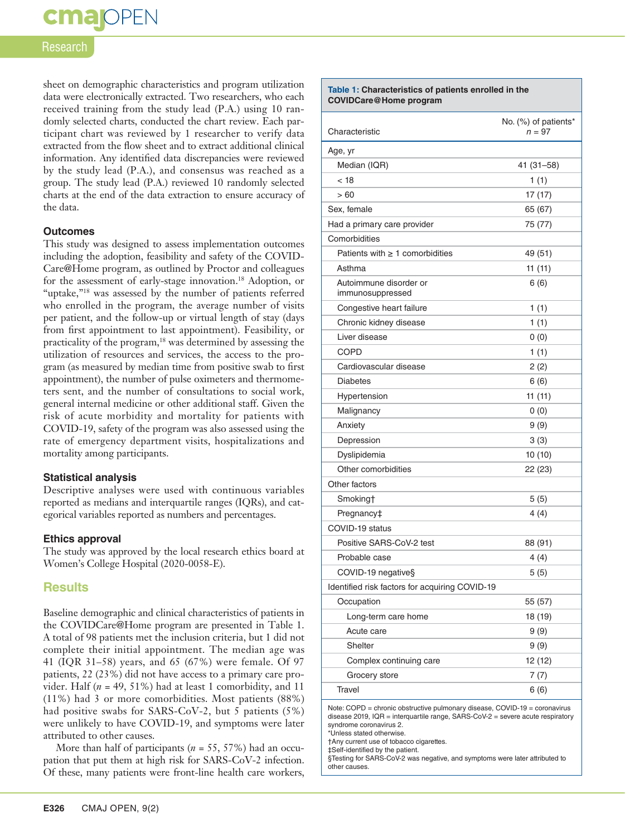# **cma** OPEN

#### Research

sheet on demographic characteristics and program utilization data were electronically extracted. Two researchers, who each received training from the study lead (P.A.) using 10 randomly selected charts, conducted the chart review. Each participant chart was reviewed by 1 researcher to verify data extracted from the flow sheet and to extract additional clinical information. Any identified data discrepancies were reviewed by the study lead (P.A.), and consensus was reached as a group. The study lead (P.A.) reviewed 10 randomly selected charts at the end of the data extraction to ensure accuracy of the data.

#### **Outcomes**

This study was designed to assess implementation outcomes including the adoption, feasibility and safety of the COVID-Care@Home program, as outlined by Proctor and colleagues for the assessment of early-stage innovation.18 Adoption, or "uptake,"<sup>18</sup> was assessed by the number of patients referred who enrolled in the program, the average number of visits per patient, and the follow-up or virtual length of stay (days from first appointment to last appointment). Feasibility, or practicality of the program,<sup>18</sup> was determined by assessing the utilization of resources and services, the access to the program (as measured by median time from positive swab to first appointment), the number of pulse oximeters and thermometers sent, and the number of consultations to social work, general internal medicine or other additional staff. Given the risk of acute morbidity and mortality for patients with COVID-19, safety of the program was also assessed using the rate of emergency department visits, hospitalizations and mortality among participants.

#### **Statistical analysis**

Descriptive analyses were used with continuous variables reported as medians and interquartile ranges (IQRs), and categorical variables reported as numbers and percentages.

#### **Ethics approval**

The study was approved by the local research ethics board at Women's College Hospital (2020-0058-E).

### **Results**

Baseline demographic and clinical characteristics of patients in the COVIDCare@Home program are presented in Table 1. A total of 98 patients met the inclusion criteria, but 1 did not complete their initial appointment. The median age was 41 (IQR 31–58) years, and 65 (67%) were female. Of 97 patients, 22 (23%) did not have access to a primary care provider. Half  $(n = 49, 51\%)$  had at least 1 comorbidity, and 11 (11%) had 3 or more comorbidities. Most patients (88%) had positive swabs for SARS-CoV-2, but 5 patients (5%) were unlikely to have COVID-19, and symptoms were later attributed to other causes.

More than half of participants (*n* = 55, 57%) had an occupation that put them at high risk for SARS-CoV-2 infection. Of these, many patients were front-line health care workers,

| Table 1: Characteristics of patients enrolled in the<br><b>COVIDCare@Home program</b> |                                  |  |
|---------------------------------------------------------------------------------------|----------------------------------|--|
| Characteristic                                                                        | No. (%) of patients*<br>$n = 97$ |  |
| Age, yr                                                                               |                                  |  |
| Median (IQR)                                                                          | 41 (31–58)                       |  |
| < 18                                                                                  | 1(1)                             |  |
| >60                                                                                   | 17 (17)                          |  |
| Sex, female                                                                           | 65 (67)                          |  |
| Had a primary care provider                                                           | 75 (77)                          |  |
| Comorbidities                                                                         |                                  |  |
| Patients with $\geq 1$ comorbidities                                                  | 49 (51)                          |  |
| Asthma                                                                                | 11(11)                           |  |
| Autoimmune disorder or<br>immunosuppressed                                            | 6(6)                             |  |
| Congestive heart failure                                                              | 1(1)                             |  |
| Chronic kidney disease                                                                | 1(1)                             |  |
| Liver disease                                                                         | 0(0)                             |  |
| <b>COPD</b>                                                                           | 1(1)                             |  |
| Cardiovascular disease                                                                | 2(2)                             |  |
| <b>Diabetes</b>                                                                       | 6 (6)                            |  |
| Hypertension                                                                          | 11(11)                           |  |
| Malignancy                                                                            | 0(0)                             |  |
| Anxiety                                                                               | 9(9)                             |  |
| Depression                                                                            | 3(3)                             |  |
| Dyslipidemia                                                                          | 10 (10)                          |  |
| Other comorbidities                                                                   | 22 (23)                          |  |
| Other factors                                                                         |                                  |  |
| Smoking†                                                                              | 5(5)                             |  |
| Pregnancy‡                                                                            | 4 (4)                            |  |
| COVID-19 status                                                                       |                                  |  |
| Positive SARS-CoV-2 test                                                              | 88 (91)                          |  |
| Probable case                                                                         | 4(4)                             |  |
| COVID-19 negative§                                                                    | 5(5)                             |  |
| Identified risk factors for acquiring COVID-19                                        |                                  |  |
| Occupation                                                                            | 55 (57)                          |  |
| Long-term care home                                                                   | 18 (19)                          |  |
| Acute care                                                                            | 9(9)                             |  |
| Shelter                                                                               | 9(9)                             |  |
| Complex continuing care                                                               | 12 (12)                          |  |
| Grocery store                                                                         | 7(7)                             |  |
| Travel                                                                                | 6(6)                             |  |

Note: COPD = chronic obstructive pulmonary disease, COVID-19 = coronavirus disease 2019, IQR = interquartile range, SARS-CoV-2 = severe acute respiratory syndrome coronavirus 2.

\*Unless stated otherwise.

†Any current use of tobacco cigarettes.

‡Self-identified by the patient.

§Testing for SARS-CoV-2 was negative, and symptoms were later attributed to other causes.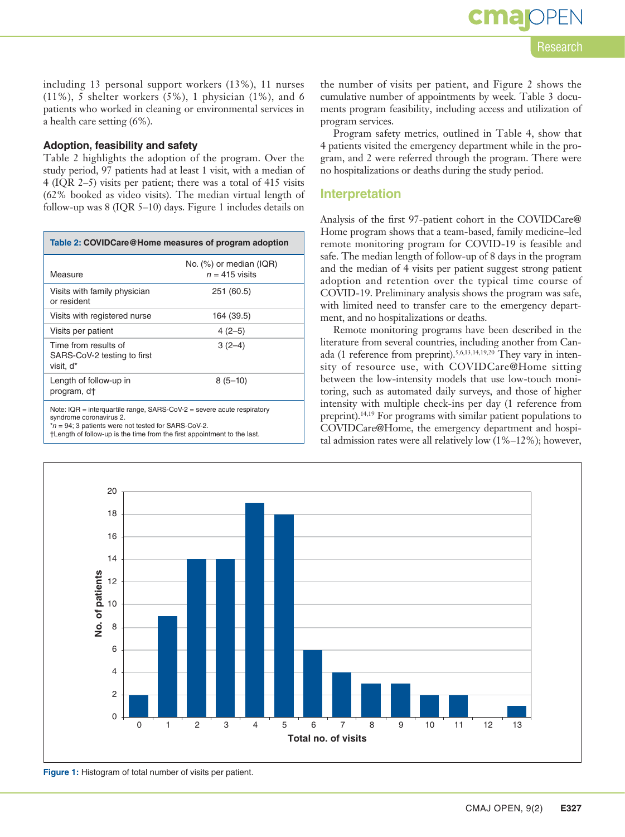Research

including 13 personal support workers (13%), 11 nurses (11%), 5 shelter workers (5%), 1 physician (1%), and 6 patients who worked in cleaning or environmental services in a health care setting (6%).

## **Adoption, feasibility and safety**

Table 2 highlights the adoption of the program. Over the study period, 97 patients had at least 1 visit, with a median of 4 (IQR 2–5) visits per patient; there was a total of 415 visits (62% booked as video visits). The median virtual length of follow-up was 8 (IQR 5–10) days. Figure 1 includes details on

| Table 2: COVIDCare@Home measures of program adoption                         |                                                |  |
|------------------------------------------------------------------------------|------------------------------------------------|--|
| Measure                                                                      | No. $(\%)$ or median (IQR)<br>$n = 415$ visits |  |
| Visits with family physician<br>or resident                                  | 251 (60.5)                                     |  |
| Visits with registered nurse                                                 | 164 (39.5)                                     |  |
| Visits per patient                                                           | $4(2-5)$                                       |  |
| Time from results of<br>SARS-CoV-2 testing to first<br>visit. d <sup>*</sup> | $3(2-4)$                                       |  |
| Length of follow-up in<br>program, d <sup>+</sup>                            | $8(5-10)$                                      |  |
| Note: $IQR =$ interguartile range, SARS-CoV-2 = severe acute respiratory     |                                                |  |

syndrome coronavirus 2.

\**n* = 94; 3 patients were not tested for SARS-CoV-2.

†Length of follow-up is the time from the first appointment to the last.

the number of visits per patient, and Figure 2 shows the cumulative number of appointments by week. Table 3 documents program feasibility, including access and utilization of program services.

Program safety metrics, outlined in Table 4, show that 4 patients visited the emergency department while in the program, and 2 were referred through the program. There were no hospitalizations or deaths during the study period.

## **Interpretation**

Analysis of the first 97-patient cohort in the COVIDCare@ Home program shows that a team-based, family medicine–led remote monitoring program for COVID-19 is feasible and safe. The median length of follow-up of 8 days in the program and the median of 4 visits per patient suggest strong patient adoption and retention over the typical time course of COVID-19. Preliminary analysis shows the program was safe, with limited need to transfer care to the emergency department, and no hospitalizations or deaths.

Remote monitoring programs have been described in the literature from several countries, including another from Canada (1 reference from preprint).5,6,13,14,19,20 They vary in intensity of resource use, with COVIDCare@Home sitting between the low-intensity models that use low-touch monitoring, such as automated daily surveys, and those of higher intensity with multiple check-ins per day (1 reference from preprint).14,19 For programs with similar patient populations to COVIDCare@Home, the emergency department and hospital admission rates were all relatively low (1%–12%); however,



**Figure 1:** Histogram of total number of visits per patient.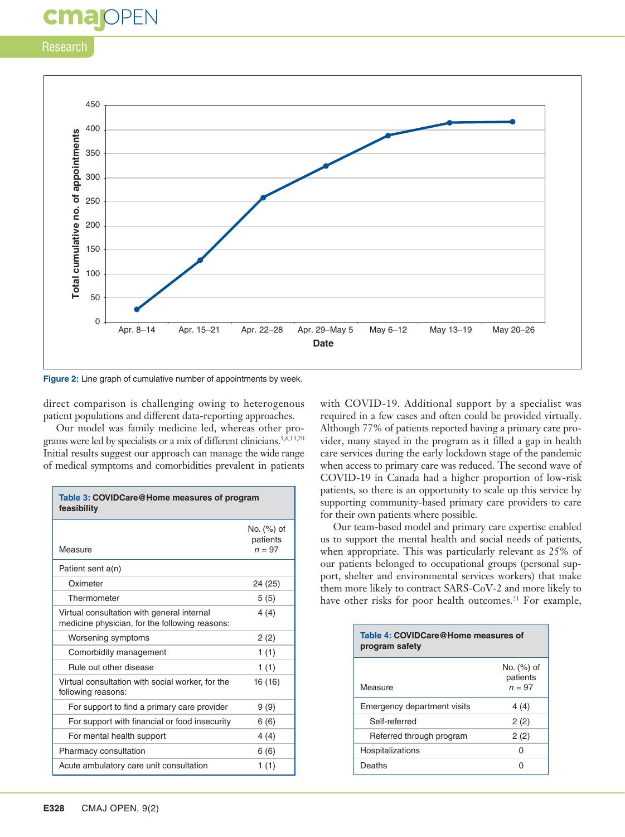## Research

cma

DPEN



**Figure 2:** Line graph of cumulative number of appointments by week.

direct comparison is challenging owing to heterogenous patient populations and different data-reporting approaches.

Our model was family medicine led, whereas other programs were led by specialists or a mix of different clinicians.<sup>5,6,13,20</sup> Initial results suggest our approach can manage the wide range of medical symptoms and comorbidities prevalent in patients

| Table 3: COVIDCare@Home measures of program<br>feasibility                                   |                                         |  |
|----------------------------------------------------------------------------------------------|-----------------------------------------|--|
| Measure                                                                                      | $No.$ $(\%)$ of<br>patients<br>$n = 97$ |  |
| Patient sent a(n)                                                                            |                                         |  |
| Oximeter                                                                                     | 24 (25)                                 |  |
| Thermometer                                                                                  | 5(5)                                    |  |
| Virtual consultation with general internal<br>medicine physician, for the following reasons: | 4(4)                                    |  |
| Worsening symptoms                                                                           | 2(2)                                    |  |
| Comorbidity management                                                                       | 1(1)                                    |  |
| Rule out other disease                                                                       | 1(1)                                    |  |
| Virtual consultation with social worker, for the<br>following reasons:                       | 16 (16)                                 |  |
| For support to find a primary care provider                                                  | 9(9)                                    |  |
| For support with financial or food insecurity                                                | 6(6)                                    |  |
| For mental health support                                                                    | 4(4)                                    |  |
| Pharmacy consultation                                                                        | 6(6)                                    |  |
| Acute ambulatory care unit consultation                                                      | 1(1)                                    |  |

with COVID-19. Additional support by a specialist was required in a few cases and often could be provided virtually. Although 77% of patients reported having a primary care provider, many stayed in the program as it filled a gap in health care services during the early lockdown stage of the pandemic when access to primary care was reduced. The second wave of COVID-19 in Canada had a higher proportion of low-risk patients, so there is an opportunity to scale up this service by supporting community-based primary care providers to care for their own patients where possible.

Our team-based model and primary care expertise enabled us to support the mental health and social needs of patients, when appropriate. This was particularly relevant as 25% of our patients belonged to occupational groups (personal support, shelter and environmental services workers) that make them more likely to contract SARS-CoV-2 and more likely to have other risks for poor health outcomes.<sup>21</sup> For example,

| Table 4: COVIDCare@Home measures of<br>program safety |                                    |  |
|-------------------------------------------------------|------------------------------------|--|
| Measure                                               | No. (%) of<br>patients<br>$n = 97$ |  |
| Emergency department visits                           | 4 (4)                              |  |
| Self-referred                                         | 2(2)                               |  |
| Referred through program                              | 2(2)                               |  |
| Hospitalizations                                      |                                    |  |
| Deaths                                                |                                    |  |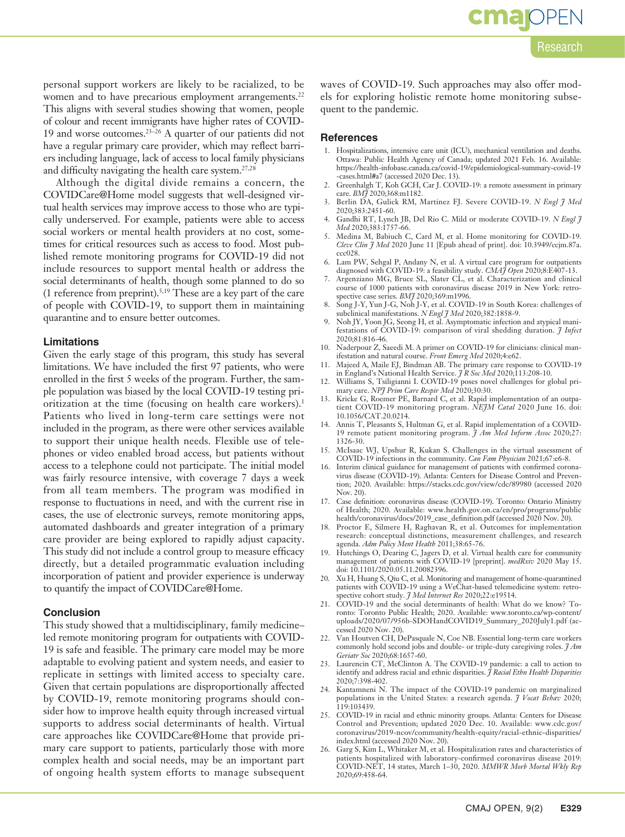personal support workers are likely to be racialized, to be women and to have precarious employment arrangements.<sup>22</sup> This aligns with several studies showing that women, people of colour and recent immigrants have higher rates of COVID-19 and worse outcomes.23–26 A quarter of our patients did not have a regular primary care provider, which may reflect barriers including language, lack of access to local family physicians and difficulty navigating the health care system.27,28

Although the digital divide remains a concern, the COVIDCare@Home model suggests that well-designed virtual health services may improve access to those who are typically underserved. For example, patients were able to access social workers or mental health providers at no cost, sometimes for critical resources such as access to food. Most published remote monitoring programs for COVID-19 did not include resources to support mental health or address the social determinants of health, though some planned to do so (1 reference from preprint).5,19 These are a key part of the care of people with COVID-19, to support them in maintaining quarantine and to ensure better outcomes.

#### **Limitations**

Given the early stage of this program, this study has several limitations. We have included the first 97 patients, who were enrolled in the first 5 weeks of the program. Further, the sample population was biased by the local COVID-19 testing prioritization at the time (focusing on health care workers).1 Patients who lived in long-term care settings were not included in the program, as there were other services available to support their unique health needs. Flexible use of telephones or video enabled broad access, but patients without access to a telephone could not participate. The initial model was fairly resource intensive, with coverage 7 days a week from all team members. The program was modified in response to fluctuations in need, and with the current rise in cases, the use of electronic surveys, remote monitoring apps, automated dashboards and greater integration of a primary care provider are being explored to rapidly adjust capacity. This study did not include a control group to measure efficacy directly, but a detailed programmatic evaluation including incorporation of patient and provider experience is underway to quantify the impact of COVIDCare@Home.

#### **Conclusion**

This study showed that a multidisciplinary, family medicine– led remote monitoring program for outpatients with COVID-19 is safe and feasible. The primary care model may be more adaptable to evolving patient and system needs, and easier to replicate in settings with limited access to specialty care. Given that certain populations are disproportionally affected by COVID-19, remote monitoring programs should consider how to improve health equity through increased virtual supports to address social determinants of health. Virtual care approaches like COVIDCare@Home that provide primary care support to patients, particularly those with more complex health and social needs, may be an important part of ongoing health system efforts to manage subsequent waves of COVID-19. Such approaches may also offer models for exploring holistic remote home monitoring subsequent to the pandemic.

#### **References**

- 1. Hospitalizations, intensive care unit (ICU), mechanical ventilation and deaths. Ottawa: Public Health Agency of Canada; updated 2021 Feb. 16. Available: https://health-infobase.canada.ca/covid-19/epidemiological-summary-covid-19 -cases.html#a7 (accessed 2020 Dec. 13).
- 2. Greenhalgh T, Koh GCH, Car J. COVID-19: a remote assessment in primary care. *BMJ* 2020;368:m1182.
- 3. Berlin DA, Gulick RM, Martinez FJ. Severe COVID-19. *N Engl J Med* 2020;383:2451-60.
- 4. Gandhi RT, Lynch JB, Del Rio C. Mild or moderate COVID-19. *N Engl J Med* 2020;383:1757-66.
- 5. Medina M, Babiuch C, Card M, et al. Home monitoring for COVID-19. *Cleve Clin J Med* 2020 June 11 [Epub ahead of print]. doi: 10.3949/ccjm.87a. ccc028.
- 6. Lam PW, Sehgal P, Andany N, et al. A virtual care program for outpatients diagnosed with COVID-19: a feasibility study. *CMAJ Open* 2020;8:E407-13.
- 7. Argenziano MG, Bruce SL, Slater CL, et al. Characterization and clinical course of 1000 patients with coronavirus disease 2019 in New York: retro-
- spective case series. *BMJ* 2020;369:m1996. 8. Song J-Y, Yun J-G, Noh J-Y, et al. COVID-19 in South Korea: challenges of subclinical manifestations. *N Engl J Med* 2020;382:1858-9.
- 9. Noh JY, Yoon JG, Seong H, et al. Asymptomatic infection and atypical manifestations of COVID-19: comparison of viral shedding duration. *J Infect* 2020;81:816-46.
- 10. Naderpour Z, Saeedi M. A primer on COVID-19 for clinicians: clinical manifestation and natural course. *Front Emerg Med* 2020;4:e62.
- 11. Majeed A, Maile EJ, Bindman AB. The primary care response to COVID-19 in England's National Health Service. *J R Soc Med* 2020;113:208-10. 12. Williams S, Tsiligianni I. COVID-19 poses novel challenges for global pri-
- mary care. *NPJ Prim Care Respir Med* 2020;30:30.
- 13. Kricke G, Roemer PE, Barnard C, et al. Rapid implementation of an outpatient COVID-19 monitoring program. *NEJM Catal* 2020 June 16. doi: 10.1056/CAT.20.0214.
- 14. Annis T, Pleasants S, Hultman G, et al. Rapid implementation of a COVID-19 remote patient monitoring program. *J Am Med Inform Assoc* 2020;27: 1326-30.
- 15. McIsaac WJ, Upshur R, Kukan S. Challenges in the virtual assessment of COVID-19 infections in the community. *Can Fam Physician* 2021;67:e6-8.
- 16. Interim clinical guidance for management of patients with confirmed coronavirus disease (COVID-19). Atlanta: Centers for Disease Control and Prevention; 2020. Available: https://stacks.cdc.gov/view/cdc/89980 (accessed 2020 Nov. 20).
- 17. Case definition: coronavirus disease (COVID-19). Toronto: Ontario Ministry of Health; 2020. Available: www.health.gov.on.ca/en/pro/programs/public health/coronavirus/docs/2019\_case\_definition.pdf (accessed 2020 Nov. 20).
- 18. Proctor E, Silmere H, Raghavan R, et al. Outcomes for implementation research: conceptual distinctions, measurement challenges, and research agenda. *Adm Policy Ment Health* 2011;38:65-76.
- 19. Hutchings O, Dearing C, Jagers D, et al. Virtual health care for community management of patients with COVID-19 [preprint]. *medRxiv* 2020 May 15. doi: 10.1101/2020.05.11.20082396.
- 20. Xu H, Huang S, Qiu C, et al. Monitoring and management of home-quarantined patients with COVID-19 using a WeChat-based telemedicine system: retrospective cohort study. *J Med Internet Res* 2020;22:e19514.
- 21. COVID-19 and the social determinants of health: What do we know? Toronto: Toronto Public Health; 2020. Available: www.toronto.ca/wp-content/ uploads/2020/07/956b-SDOHandCOVID19\_Summary\_2020July1.pdf (accessed 2020 Nov. 20).
- 22. Van Houtven CH, DePasquale N, Coe NB. Essential long-term care workers commonly hold second jobs and double- or triple-duty caregiving roles. *J Am Geriatr Soc* 2020;68:1657-60.
- Laurencin CT, McClinton A. The COVID-19 pandemic: a call to action to identify and address racial and ethnic disparities. *J Racial Ethn Health Disparities* 2020;7:398-402.
- 24. Kantamneni N. The impact of the COVID-19 pandemic on marginalized populations in the United States: a research agenda. *J Vocat Behav* 2020; 119:103439.
- 25. COVID-19 in racial and ethnic minority groups. Atlanta: Centers for Disease Control and Prevention; updated 2020 Dec. 10. Available: www.cdc.gov/ coronavirus/2019-ncov/community/health-equity/racial-ethnic-disparities/ index.html (accessed 2020 Nov. 20).
- 26. Garg S, Kim L, Whitaker M, et al. Hospitalization rates and characteristics of patients hospitalized with laboratory-confirmed coronavirus disease 2019: COVID-NET, 14 states, March 1–30, 2020. *MMWR Morb Mortal Wkly Rep* 2020;69:458-64.